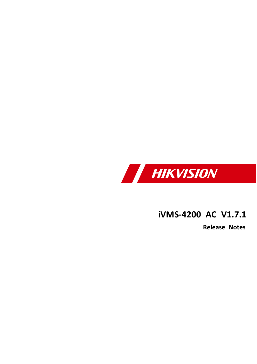

## **iVMS -4200 AC V1 . 7 . 1**

**Release Notes**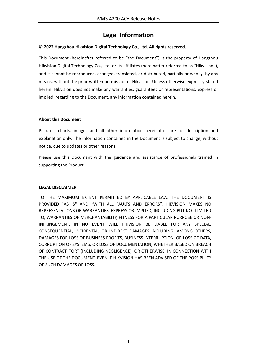#### **Legal Information**

#### **© 2022 Hangzhou Hikvision Digital Technology Co., Ltd. All rights reserved.**

This Document (hereinafter referred to be "the Document") is the property of Hangzhou Hikvision Digital Technology Co., Ltd. or its affiliates (hereinafter referred to as "Hikvision"), and it cannot be reproduced, changed, translated, or distributed, partially or wholly, by any means, without the prior written permission of Hikvision. Unless otherwise expressly stated herein, Hikvision does not make any warranties, guarantees or representations, express or implied, regarding to the Document, any information contained herein.

#### **About this Document**

Pictures, charts, images and all other information hereinafter are for description and explanation only. The information contained in the Document is subject to change, without notice, due to updates or other reasons.

Please use this Document with the guidance and assistance of professionals trained in supporting the Product.

#### **LEGAL DISCLAIMER**

TO THE MAXIMUM EXTENT PERMITTED BY APPLICABLE LAW, THE DOCUMENT IS PROVIDED "AS IS" AND "WITH ALL FAULTS AND ERRORS". HIKVISION MAKES NO REPRESENTATIONS OR WARRANTIES, EXPRESS OR IMPLIED, INCLUDING BUT NOT LIMITED TO, WARRANTIES OF MERCHANTABILITY, FITNESS FOR A PARTICULAR PURPOSE OR NON-INFRINGEMENT. IN NO EVENT WILL HIKVISION BE LIABLE FOR ANY SPECIAL, CONSEQUENTIAL, INCIDENTAL, OR INDIRECT DAMAGES INCLUDING, AMONG OTHERS, DAMAGES FOR LOSS OF BUSINESS PROFITS, BUSINESS INTERRUPTION, OR LOSS OF DATA, CORRUPTION OF SYSTEMS, OR LOSS OF DOCUMENTATION, WHETHER BASED ON BREACH OF CONTRACT, TORT (INCLUDING NEGLIGENCE), OR OTHERWISE, IN CONNECTION WITH THE USE OF THE DOCUMENT, EVEN IF HIKVISION HAS BEEN ADVISED OF THE POSSIBILITY OF SUCH DAMAGES OR LOSS.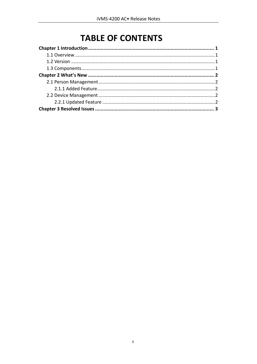## **TABLE OF CONTENTS**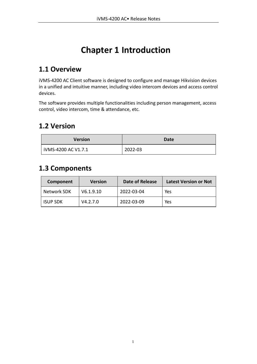# **Chapter 1 Introduction**

### <span id="page-3-1"></span><span id="page-3-0"></span>**1.1 Overview**

iVMS-4200 AC Client software is designed to configure and manage Hikvision devices in a unified and intuitive manner, including video intercom devices and access control devices.

The software provides multiple functionalities including person management, access control, video intercom, time & attendance, etc.

### <span id="page-3-2"></span>**1.2 Version**

| <b>Version</b>      | Date    |
|---------------------|---------|
| iVMS-4200 AC V1.7.1 | 2022-03 |

### <span id="page-3-3"></span>**1.3 Components**

| Component          | <b>Version</b> | <b>Date of Release</b> | <b>Latest Version or Not</b> |
|--------------------|----------------|------------------------|------------------------------|
| <b>Network SDK</b> | V6.1.9.10      | 2022-03-04             | Yes                          |
| <b>ISUP SDK</b>    | V4.2.7.0       | 2022-03-09             | Yes                          |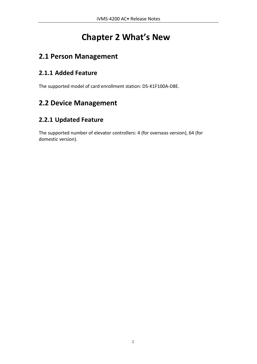## **Chapter 2 What's New**

### <span id="page-4-1"></span><span id="page-4-0"></span>**2.1 Person Management**

#### <span id="page-4-2"></span>**2.1.1 Added Feature**

The supported model of card enrollment station: DS-K1F100A-D8E.

### <span id="page-4-3"></span>**2.2 Device Management**

#### <span id="page-4-4"></span>**2.2.1 Updated Feature**

The supported number of elevator controllers: 4 (for overseas version), 64 (for domestic version).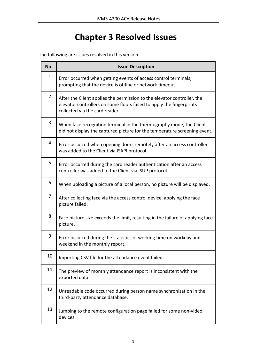# **Chapter 3 Resolved Issues**

<span id="page-5-0"></span>The following are issues resolved in this version.

| No.            | <b>Issue Description</b>                                                                                                                                                          |
|----------------|-----------------------------------------------------------------------------------------------------------------------------------------------------------------------------------|
| $\mathbf{1}$   | Error occurred when getting events of access control terminals,<br>prompting that the device is offline or network timeout.                                                       |
| $\overline{2}$ | After the Client applies the permission to the elevator controller, the<br>elevator controllers on some floors failed to apply the fingerprints<br>collected via the card reader. |
| 3              | When face recognition terminal in the thermography mode, the Client<br>did not display the captured picture for the temperature screening event.                                  |
| 4              | Error occurred when opening doors remotely after an access controller<br>was added to the Client via ISAPI protocol.                                                              |
| 5              | Error occurred during the card reader authentication after an access<br>controller was added to the Client via ISUP protocol.                                                     |
| 6              | When uploading a picture of a local person, no picture will be displayed.                                                                                                         |
| 7              | After collecting face via the access control device, applying the face<br>picture failed.                                                                                         |
| 8              | Face picture size exceeds the limit, resulting in the failure of applying face<br>picture.                                                                                        |
| 9              | Error occurred during the statistics of working time on workday and<br>weekend in the monthly report.                                                                             |
| 10             | Importing CSV file for the attendance event failed.                                                                                                                               |
| 11             | The preview of monthly attendance report is inconsistent with the<br>exported data.                                                                                               |
| 12             | Unreadable code occurred during person name synchronization in the<br>third-party attendance database.                                                                            |
| 13             | Jumping to the remote configuration page failed for some non-video<br>devices.                                                                                                    |